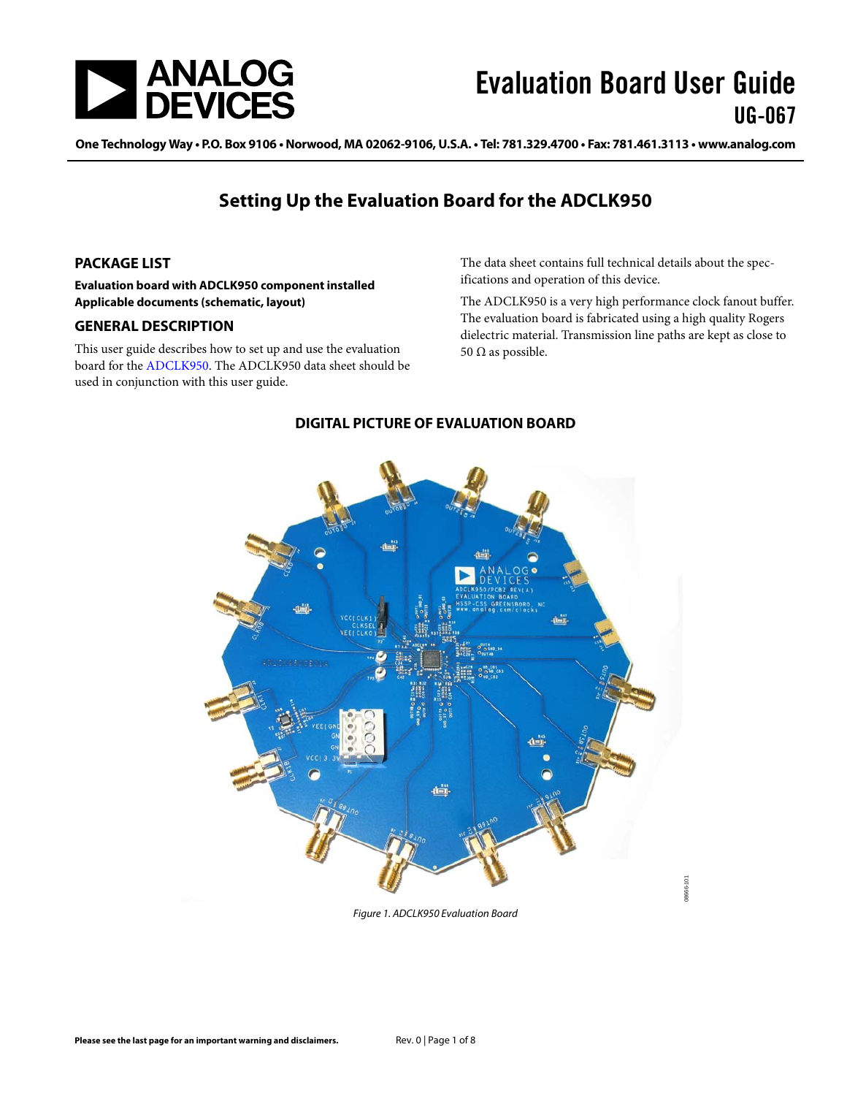

One Technology Way • P.O. Box 9106 • Norwood, MA 02062-9106, U.S.A. • Tel: 781.329.4700 • Fax: 781.461.3113 • www.analog.com

### **Setting Up the Evaluation Board for the ADCLK950**

#### <span id="page-0-0"></span>**PACKAGE LIST**

**Evaluation board with ADCLK950 component installed Applicable documents (schematic, layout)**

#### <span id="page-0-1"></span>**GENERAL DESCRIPTION**

<span id="page-0-2"></span>This user guide describes how to set up and use the evaluation board for the [ADCLK950.](http://www.analog.com/ADCLK950) Th[e ADCLK950](http://www.analog.com/ADCLK950) data sheet should be used in conjunction with this user guide.

The data sheet contains full technical details about the specifications and operation of this device.

The [ADCLK950](http://www.analog.com/ADCLK950) is a very high performance clock fanout buffer. The evaluation board is fabricated using a high quality Rogers dielectric material. Transmission line paths are kept as close to 50 Ω as possible.



#### **DIGITAL PICTURE OF EVALUATION BOARD**

*Figure 1. ADCLK950 Evaluation Board*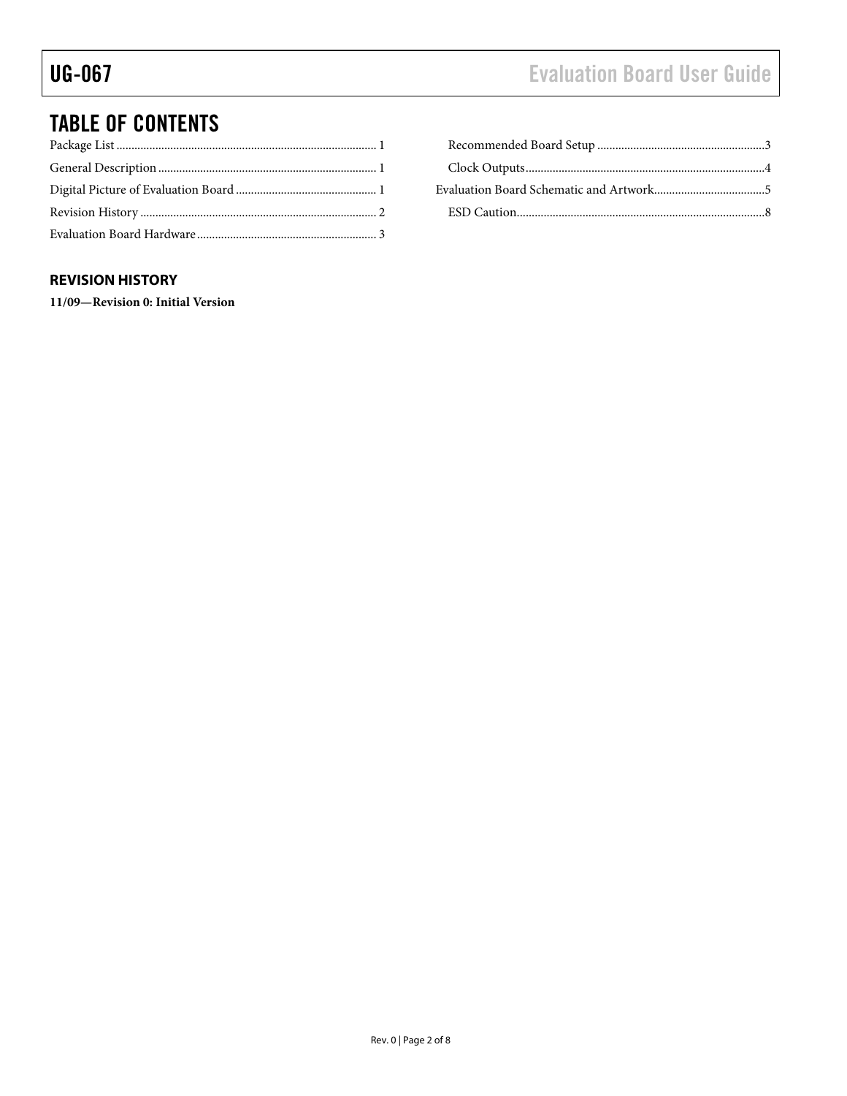## TABLE OF CONTENTS

### Recommended Board Setup [........................................................3](#page-2-1) [Clock Outputs................................................................................4](#page-3-0) [Evaluation Board Schematic and Artwork.....................................5](#page-4-0) [ESD Caution...................................................................................8](#page-7-0)

#### <span id="page-1-0"></span>**REVISION HISTORY**

**11/09—Revision 0: Initial Version**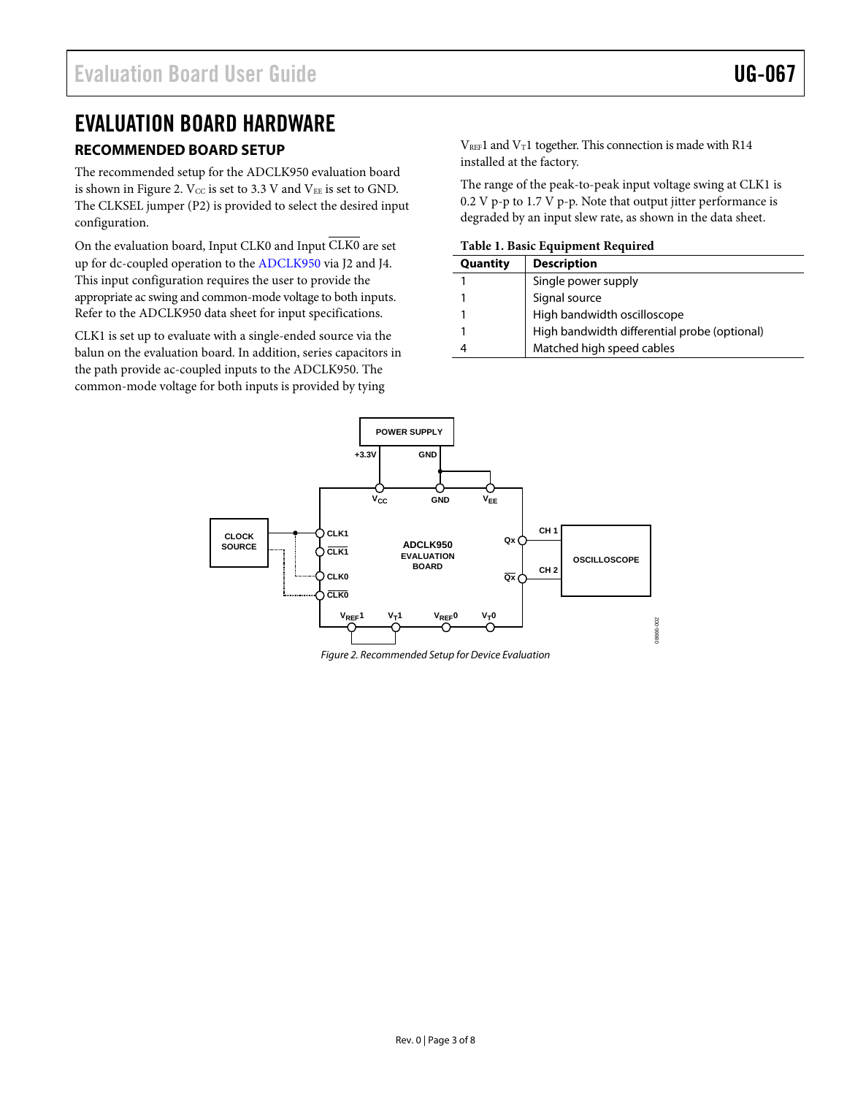### <span id="page-2-0"></span>EVALUATION BOARD HARDWARE

#### <span id="page-2-1"></span>**RECOMMENDED BOARD SETUP**

The recommended setup for the ADCLK950 evaluation board is shown in [Figure 2.](#page-2-2)  $V_{CC}$  is set to 3.3 V and  $V_{EE}$  is set to GND. The CLKSEL jumper (P2) is provided to select the desired input configuration.

On the evaluation board, Input CLK0 and Input CLK0 are set up for dc-coupled operation to the [ADCLK950](http://www.analog.com/ADCLK950) via J2 and J4. This input configuration requires the user to provide the appropriate ac swing and common-mode voltage to both inputs. Refer to th[e ADCLK950](http://www.analog.com/ADCLK950) data sheet for input specifications.

CLK1 is set up to evaluate with a single-ended source via the balun on the evaluation board. In addition, series capacitors in the path provide ac-coupled inputs to the ADCLK950. The common-mode voltage for both inputs is provided by tying

 $V_{REF}1$  and  $V_T1$  together. This connection is made with R14 installed at the factory.

The range of the peak-to-peak input voltage swing at CLK1 is 0.2 V p-p to 1.7 V p-p. Note that output jitter performance is degraded by an input slew rate, as shown in the data sheet.

**Table 1. Basic Equipment Required**

| Quantity | <b>Description</b>                           |
|----------|----------------------------------------------|
|          | Single power supply                          |
|          | Signal source                                |
|          | High bandwidth oscilloscope                  |
|          | High bandwidth differential probe (optional) |
|          | Matched high speed cables                    |



<span id="page-2-2"></span>*Figure 2. Recommended Setup for Device Evaluation*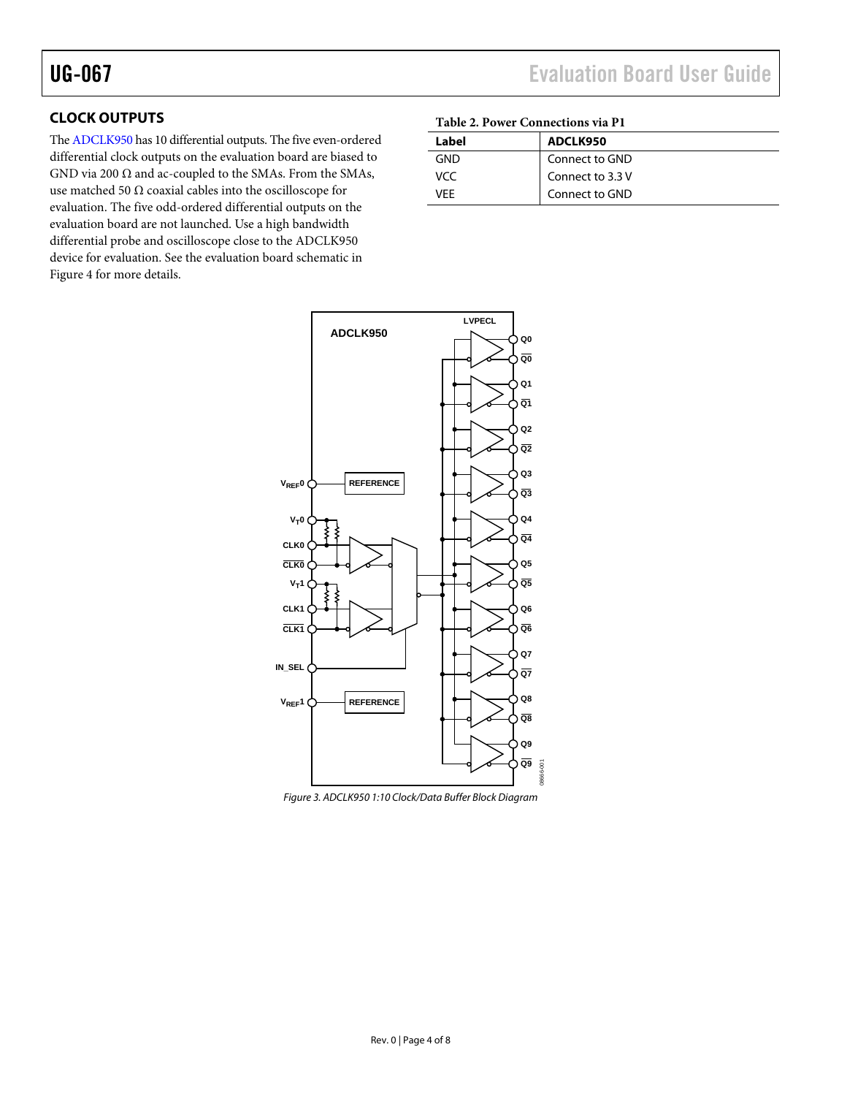#### <span id="page-3-0"></span>**CLOCK OUTPUTS**

Th[e ADCLK950](http://www.analog.com/ADCLK950) has 10 differential outputs. The five even-ordered differential clock outputs on the evaluation board are biased to GND via 200  $\Omega$  and ac-coupled to the SMAs. From the SMAs, use matched 50  $\Omega$  coaxial cables into the oscilloscope for evaluation. The five odd-ordered differential outputs on the evaluation board are not launched. Use a high bandwidth differential probe and oscilloscope close to the ADCLK950 device for evaluation. See the evaluation board schematic in [Figure 4](#page-4-1) for more details.

# UG-067 Evaluation Board User Guide

#### **Table 2. Power Connections via P1**

| Label | ADCLK950         |
|-------|------------------|
| GND   | Connect to GND   |
| VCC.  | Connect to 3.3 V |
| VFF   | Connect to GND   |



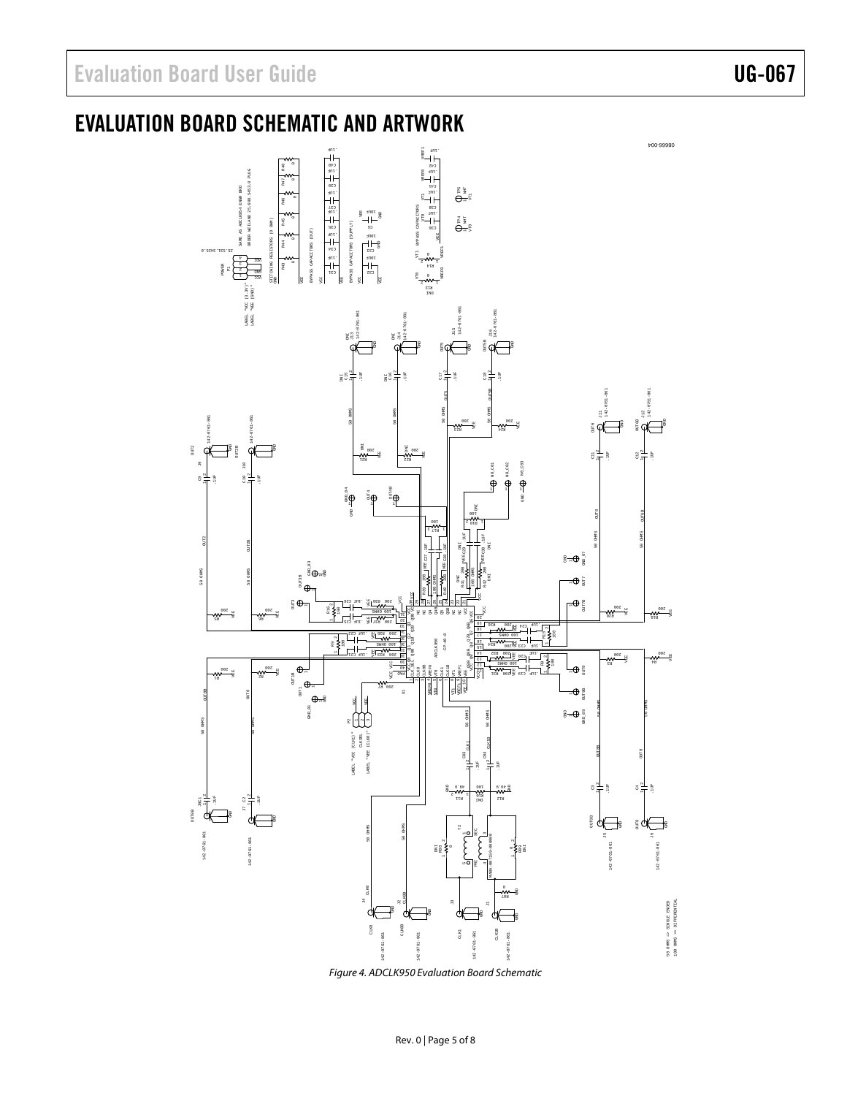# <span id="page-4-0"></span>EVALUATION BOARD SCHEMATIC AND ARTWORK



<span id="page-4-1"></span>*Figure 4. ADCLK950 Evaluation Board Schematic*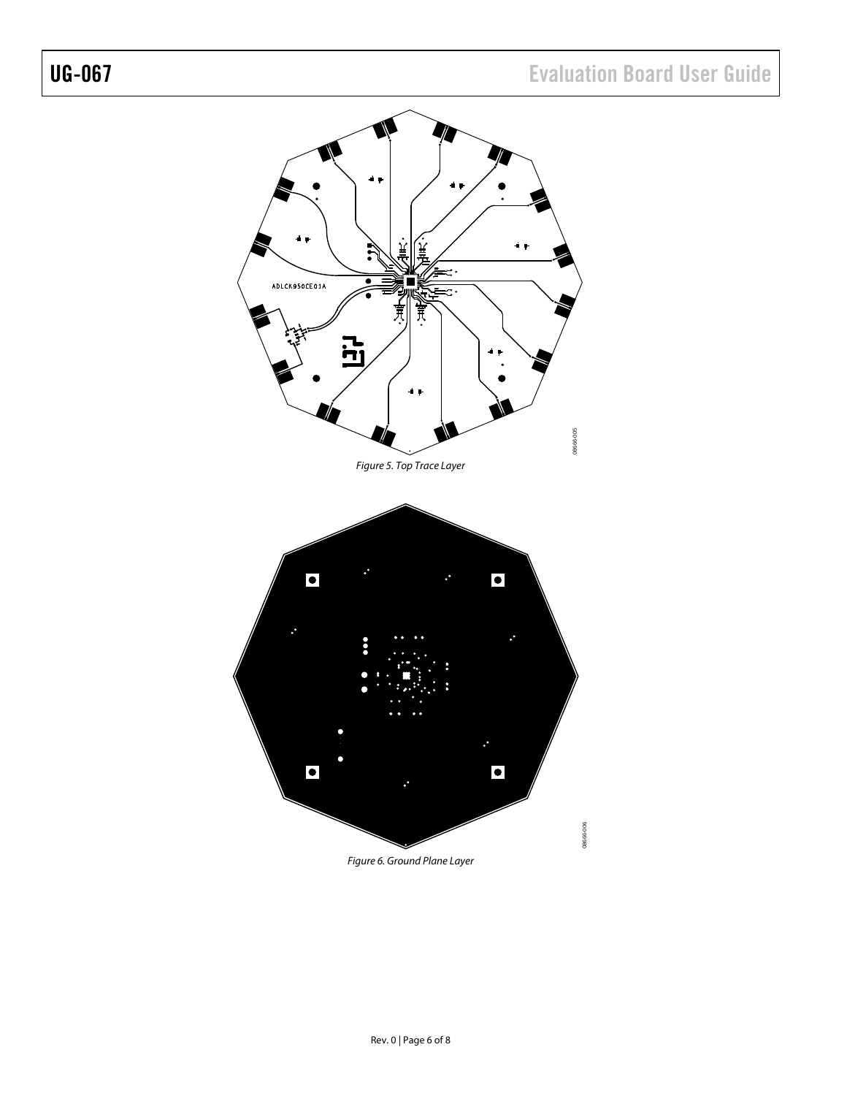

*Figure 6. Ground Plane Layer*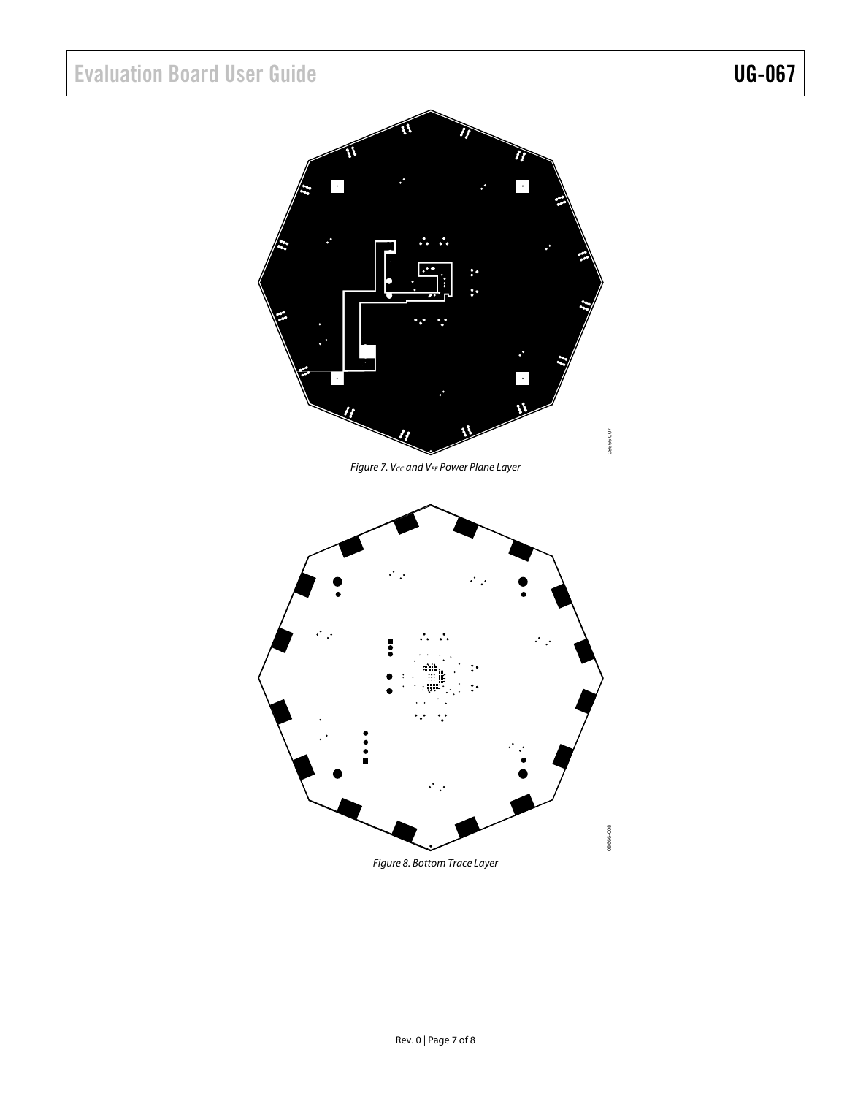# Evaluation Board User Guide Contract Contract Contract Contract Contract Contract Contract Contract Contract Contract Contract Contract Contract Contract Contract Contract Contract Contract Contract Contract Contract Contr



*Figure 7. VCC and VEE Power Plane Layer*